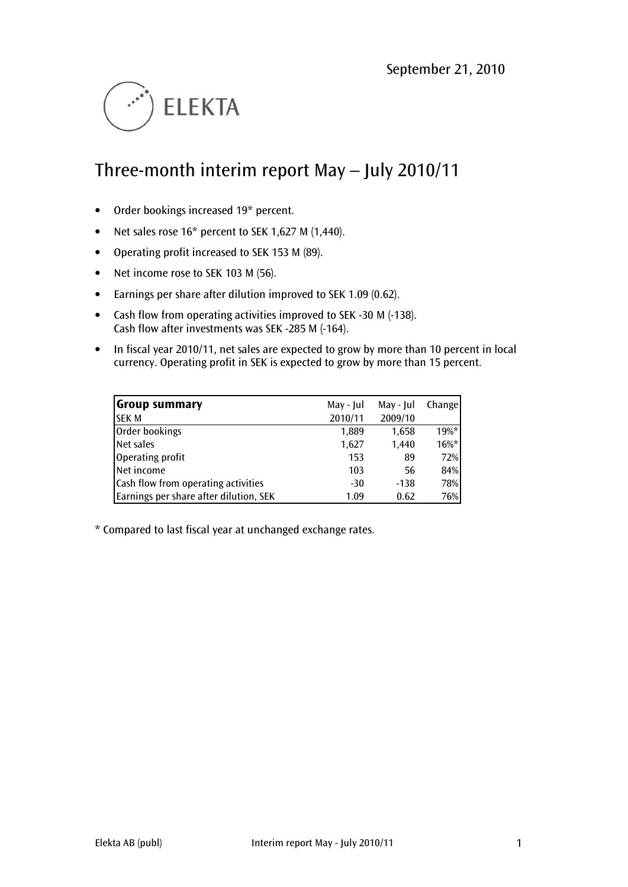

# Three-month interim report May – July 2010/11

- Order bookings increased 19\* percent.
- Net sales rose 16\* percent to SEK 1,627 M (1,440).
- Operating profit increased to SEK 153 M (89).
- Net income rose to SEK 103 M (56).
- Earnings per share after dilution improved to SEK 1.09 (0.62).
- Cash flow from operating activities improved to SEK -30 M (-138). Cash flow after investments was SEK -285 M (-164).
- In fiscal year 2010/11, net sales are expected to grow by more than 10 percent in local currency. Operating profit in SEK is expected to grow by more than 15 percent.

| <b>Group summary</b>                   | May - Jul | May - Jul | <b>Change</b> |
|----------------------------------------|-----------|-----------|---------------|
| <b>SEK M</b>                           | 2010/11   | 2009/10   |               |
| Order bookings                         | 1,889     | 1,658     | $19\%$ *      |
| Net sales                              | 1,627     | 1.440     | $16\%*$       |
| Operating profit                       | 153       | 89        | 72%           |
| Net income                             | 103       | 56        | 84%           |
| Cash flow from operating activities    | $-30$     | $-138$    | 78%           |
| Earnings per share after dilution, SEK | 1.09      | 0.62      | 76%           |

\* Compared to last fiscal year at unchanged exchange rates.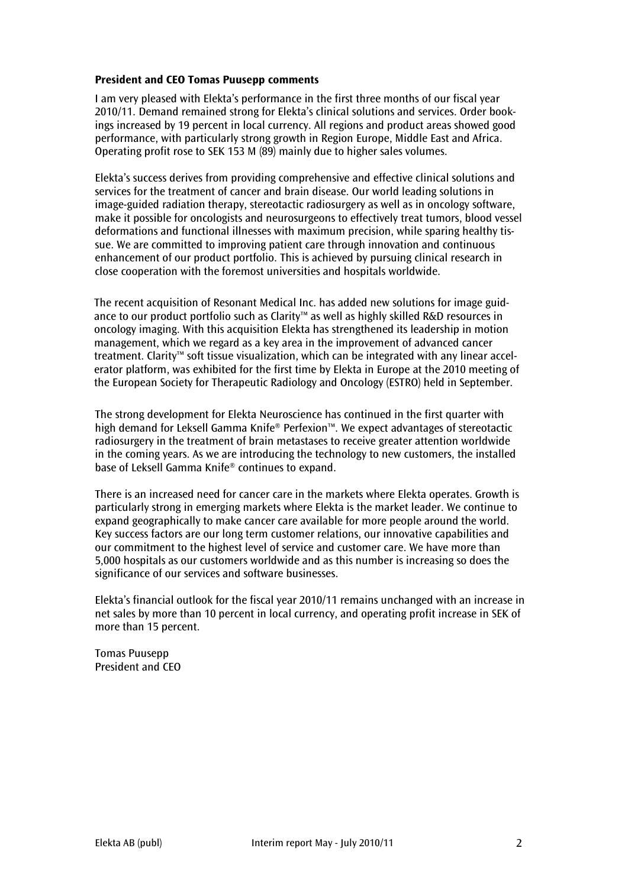# President and CEO Tomas Puusepp comments

I am very pleased with Elekta's performance in the first three months of our fiscal year 2010/11. Demand remained strong for Elekta's clinical solutions and services. Order bookings increased by 19 percent in local currency. All regions and product areas showed good performance, with particularly strong growth in Region Europe, Middle East and Africa. Operating profit rose to SEK 153 M (89) mainly due to higher sales volumes.

Elekta's success derives from providing comprehensive and effective clinical solutions and services for the treatment of cancer and brain disease. Our world leading solutions in image-guided radiation therapy, stereotactic radiosurgery as well as in oncology software, make it possible for oncologists and neurosurgeons to effectively treat tumors, blood vessel deformations and functional illnesses with maximum precision, while sparing healthy tissue. We are committed to improving patient care through innovation and continuous enhancement of our product portfolio. This is achieved by pursuing clinical research in close cooperation with the foremost universities and hospitals worldwide.

The recent acquisition of Resonant Medical Inc. has added new solutions for image guidance to our product portfolio such as Clarity™ as well as highly skilled R&D resources in oncology imaging. With this acquisition Elekta has strengthened its leadership in motion management, which we regard as a key area in the improvement of advanced cancer treatment. Clarity™ soft tissue visualization, which can be integrated with any linear accelerator platform, was exhibited for the first time by Elekta in Europe at the 2010 meeting of the European Society for Therapeutic Radiology and Oncology (ESTRO) held in September.

The strong development for Elekta Neuroscience has continued in the first quarter with high demand for Leksell Gamma Knife® Perfexion™. We expect advantages of stereotactic radiosurgery in the treatment of brain metastases to receive greater attention worldwide in the coming years. As we are introducing the technology to new customers, the installed base of Leksell Gamma Knife® continues to expand.

There is an increased need for cancer care in the markets where Elekta operates. Growth is particularly strong in emerging markets where Elekta is the market leader. We continue to expand geographically to make cancer care available for more people around the world. Key success factors are our long term customer relations, our innovative capabilities and our commitment to the highest level of service and customer care. We have more than 5,000 hospitals as our customers worldwide and as this number is increasing so does the significance of our services and software businesses.

Elekta's financial outlook for the fiscal year 2010/11 remains unchanged with an increase in net sales by more than 10 percent in local currency, and operating profit increase in SEK of more than 15 percent.

Tomas Puusepp President and CEO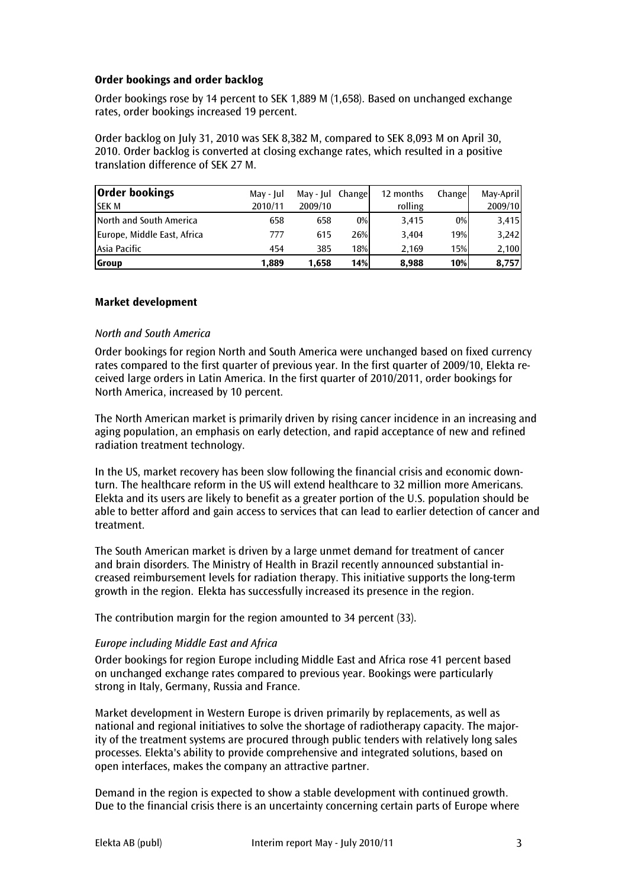# Order bookings and order backlog

Order bookings rose by 14 percent to SEK 1,889 M (1,658). Based on unchanged exchange rates, order bookings increased 19 percent.

Order backlog on July 31, 2010 was SEK 8,382 M, compared to SEK 8,093 M on April 30, 2010. Order backlog is converted at closing exchange rates, which resulted in a positive translation difference of SEK 27 M.

| <b>Order bookings</b>       | May - Jul | May-Jul Change |       | 12 months | Changel | May-April |
|-----------------------------|-----------|----------------|-------|-----------|---------|-----------|
| <b>SEK M</b>                | 2010/11   | 2009/10        |       | rolling   |         | 2009/10   |
| North and South America     | 658       | 658            | $0\%$ | 3.415     | $0\%$   | 3,415     |
| Europe, Middle East, Africa | 777       | 615            | 26%   | 3.404     | 19%     | 3,242     |
| Asia Pacific                | 454       | 385            | 18%   | 2.169     | 15%     | 2,100     |
| <b>Group</b>                | 1.889     | 1.658          | 14%   | 8.988     | 10%     | 8,757     |

# Market development

# North and South America

Order bookings for region North and South America were unchanged based on fixed currency rates compared to the first quarter of previous year. In the first quarter of 2009/10, Elekta received large orders in Latin America. In the first quarter of 2010/2011, order bookings for North America, increased by 10 percent.

The North American market is primarily driven by rising cancer incidence in an increasing and aging population, an emphasis on early detection, and rapid acceptance of new and refined radiation treatment technology.

In the US, market recovery has been slow following the financial crisis and economic downturn. The healthcare reform in the US will extend healthcare to 32 million more Americans. Elekta and its users are likely to benefit as a greater portion of the U.S. population should be able to better afford and gain access to services that can lead to earlier detection of cancer and treatment.

The South American market is driven by a large unmet demand for treatment of cancer and brain disorders. The Ministry of Health in Brazil recently announced substantial increased reimbursement levels for radiation therapy. This initiative supports the long-term growth in the region. Elekta has successfully increased its presence in the region.

The contribution margin for the region amounted to 34 percent (33).

# Europe including Middle East and Africa

Order bookings for region Europe including Middle East and Africa rose 41 percent based on unchanged exchange rates compared to previous year. Bookings were particularly strong in Italy, Germany, Russia and France.

Market development in Western Europe is driven primarily by replacements, as well as national and regional initiatives to solve the shortage of radiotherapy capacity. The majority of the treatment systems are procured through public tenders with relatively long sales processes. Elekta's ability to provide comprehensive and integrated solutions, based on open interfaces, makes the company an attractive partner.

Demand in the region is expected to show a stable development with continued growth. Due to the financial crisis there is an uncertainty concerning certain parts of Europe where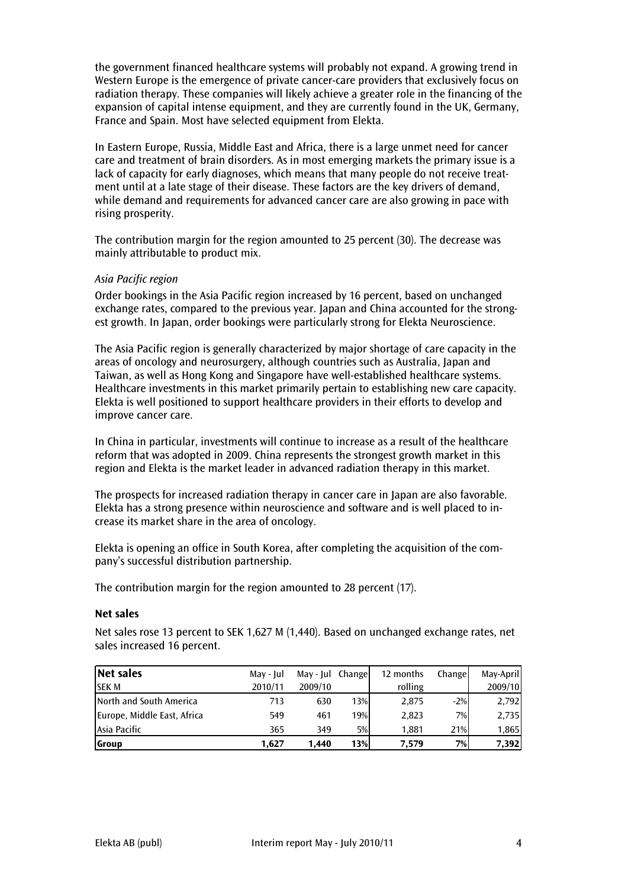the government financed healthcare systems will probably not expand. A growing trend in Western Europe is the emergence of private cancer-care providers that exclusively focus on radiation therapy. These companies will likely achieve a greater role in the financing of the expansion of capital intense equipment, and they are currently found in the UK, Germany, France and Spain. Most have selected equipment from Elekta.

In Eastern Europe, Russia, Middle East and Africa, there is a large unmet need for cancer care and treatment of brain disorders. As in most emerging markets the primary issue is a lack of capacity for early diagnoses, which means that many people do not receive treatment until at a late stage of their disease. These factors are the key drivers of demand, while demand and requirements for advanced cancer care are also growing in pace with rising prosperity.

The contribution margin for the region amounted to 25 percent (30). The decrease was mainly attributable to product mix.

# Asia Pacific region

Order bookings in the Asia Pacific region increased by 16 percent, based on unchanged exchange rates, compared to the previous year. Japan and China accounted for the strongest growth. In Japan, order bookings were particularly strong for Elekta Neuroscience.

The Asia Pacific region is generally characterized by major shortage of care capacity in the areas of oncology and neurosurgery, although countries such as Australia, Japan and Taiwan, as well as Hong Kong and Singapore have well-established healthcare systems. Healthcare investments in this market primarily pertain to establishing new care capacity. Elekta is well positioned to support healthcare providers in their efforts to develop and improve cancer care.

In China in particular, investments will continue to increase as a result of the healthcare reform that was adopted in 2009. China represents the strongest growth market in this region and Elekta is the market leader in advanced radiation therapy in this market.

The prospects for increased radiation therapy in cancer care in Japan are also favorable. Elekta has a strong presence within neuroscience and software and is well placed to increase its market share in the area of oncology.

Elekta is opening an office in South Korea, after completing the acquisition of the company's successful distribution partnership.

The contribution margin for the region amounted to 28 percent (17).

#### Net sales

Net sales rose 13 percent to SEK 1,627 M (1,440). Based on unchanged exchange rates, net sales increased 16 percent.

| Net sales                   | May - Jul | May-Jul Change |     | 12 months | Change | May-April |
|-----------------------------|-----------|----------------|-----|-----------|--------|-----------|
| <b>SEKM</b>                 | 2010/11   | 2009/10        |     | rolling   |        | 2009/10   |
| North and South America     | 713       | 630            | 13% | 2,875     | $-2%$  | 2,792     |
| Europe, Middle East, Africa | 549       | 461            | 19% | 2,823     | 7%I    | 2,735     |
| Asia Pacific                | 365       | 349            | 5%  | 1.881     | 21%    | 1,865     |
| <b>Group</b>                | 1.627     | 1.440          | 13% | 7.579     | 7%     | 7,392     |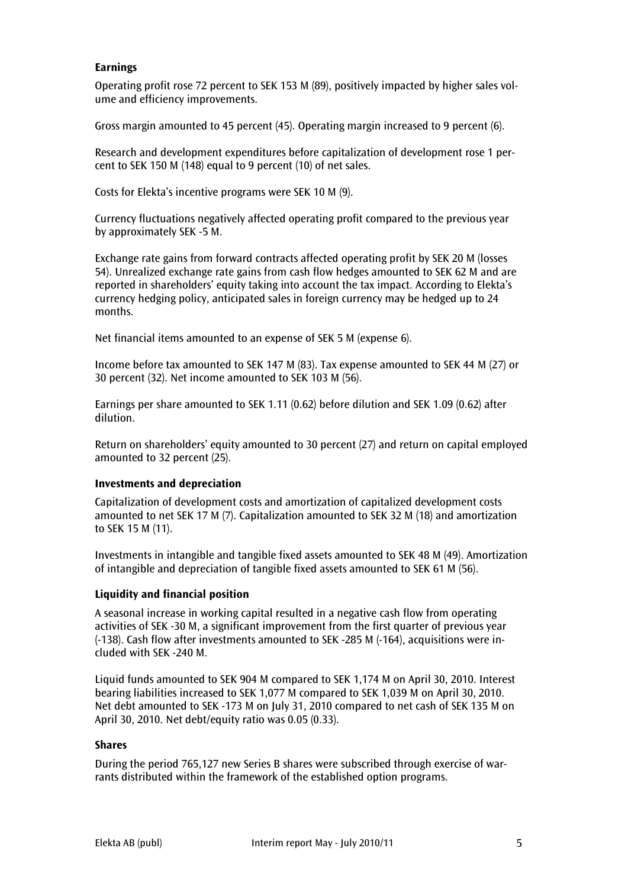# Earnings

Operating profit rose 72 percent to SEK 153 M (89), positively impacted by higher sales volume and efficiency improvements.

Gross margin amounted to 45 percent (45). Operating margin increased to 9 percent (6).

Research and development expenditures before capitalization of development rose 1 percent to SEK 150 M (148) equal to 9 percent (10) of net sales.

Costs for Elekta's incentive programs were SEK 10 M (9).

Currency fluctuations negatively affected operating profit compared to the previous year by approximately SEK -5 M.

Exchange rate gains from forward contracts affected operating profit by SEK 20 M (losses 54). Unrealized exchange rate gains from cash flow hedges amounted to SEK 62 M and are reported in shareholders' equity taking into account the tax impact. According to Elekta's currency hedging policy, anticipated sales in foreign currency may be hedged up to 24 months.

Net financial items amounted to an expense of SEK 5 M (expense 6).

Income before tax amounted to SEK 147 M (83). Tax expense amounted to SEK 44 M (27) or 30 percent (32). Net income amounted to SEK 103 M (56).

Earnings per share amounted to SEK 1.11 (0.62) before dilution and SEK 1.09 (0.62) after dilution.

Return on shareholders' equity amounted to 30 percent (27) and return on capital employed amounted to 32 percent (25).

# Investments and depreciation

Capitalization of development costs and amortization of capitalized development costs amounted to net SEK 17 M (7). Capitalization amounted to SEK 32 M (18) and amortization to SEK 15 M (11).

Investments in intangible and tangible fixed assets amounted to SEK 48 M (49). Amortization of intangible and depreciation of tangible fixed assets amounted to SEK 61 M (56).

# Liquidity and financial position

A seasonal increase in working capital resulted in a negative cash flow from operating activities of SEK -30 M, a significant improvement from the first quarter of previous year (-138). Cash flow after investments amounted to SEK -285 M (-164), acquisitions were included with SEK -240 M.

Liquid funds amounted to SEK 904 M compared to SEK 1,174 M on April 30, 2010. Interest bearing liabilities increased to SEK 1,077 M compared to SEK 1,039 M on April 30, 2010. Net debt amounted to SEK -173 M on July 31, 2010 compared to net cash of SEK 135 M on April 30, 2010. Net debt/equity ratio was 0.05 (0.33).

#### Shares

During the period 765,127 new Series B shares were subscribed through exercise of warrants distributed within the framework of the established option programs.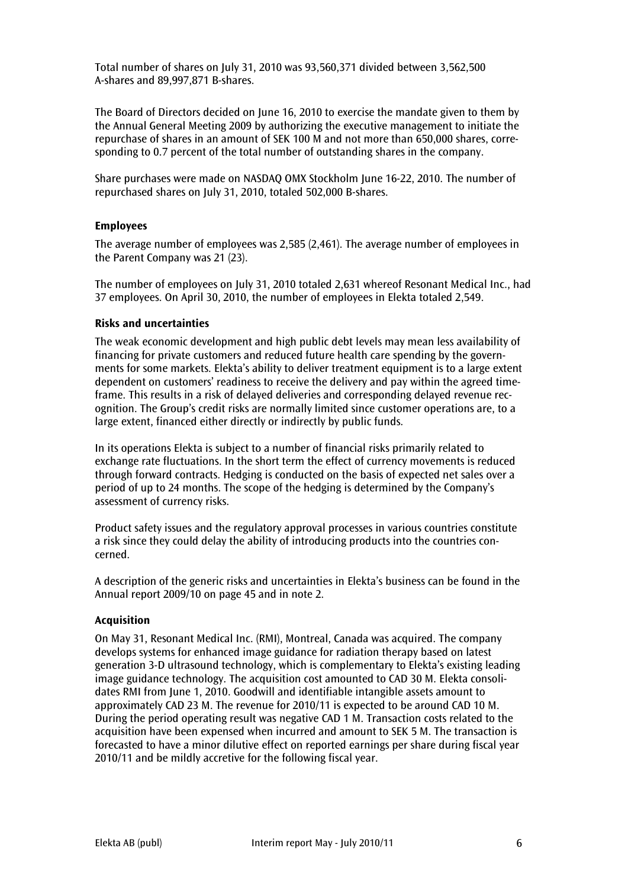Total number of shares on July 31, 2010 was 93,560,371 divided between 3,562,500 A-shares and 89,997,871 B-shares.

The Board of Directors decided on June 16, 2010 to exercise the mandate given to them by the Annual General Meeting 2009 by authorizing the executive management to initiate the repurchase of shares in an amount of SEK 100 M and not more than 650,000 shares, corresponding to 0.7 percent of the total number of outstanding shares in the company.

Share purchases were made on NASDAQ OMX Stockholm June 16-22, 2010. The number of repurchased shares on July 31, 2010, totaled 502,000 B-shares.

# Employees

The average number of employees was 2,585 (2,461). The average number of employees in the Parent Company was 21 (23).

The number of employees on July 31, 2010 totaled 2,631 whereof Resonant Medical Inc., had 37 employees. On April 30, 2010, the number of employees in Elekta totaled 2,549.

# Risks and uncertainties

The weak economic development and high public debt levels may mean less availability of financing for private customers and reduced future health care spending by the governments for some markets. Elekta's ability to deliver treatment equipment is to a large extent dependent on customers' readiness to receive the delivery and pay within the agreed timeframe. This results in a risk of delayed deliveries and corresponding delayed revenue recognition. The Group's credit risks are normally limited since customer operations are, to a large extent, financed either directly or indirectly by public funds.

In its operations Elekta is subject to a number of financial risks primarily related to exchange rate fluctuations. In the short term the effect of currency movements is reduced through forward contracts. Hedging is conducted on the basis of expected net sales over a period of up to 24 months. The scope of the hedging is determined by the Company's assessment of currency risks.

Product safety issues and the regulatory approval processes in various countries constitute a risk since they could delay the ability of introducing products into the countries concerned.

A description of the generic risks and uncertainties in Elekta's business can be found in the Annual report 2009/10 on page 45 and in note 2.

# Acquisition

On May 31, Resonant Medical Inc. (RMI), Montreal, Canada was acquired. The company develops systems for enhanced image guidance for radiation therapy based on latest generation 3-D ultrasound technology, which is complementary to Elekta's existing leading image guidance technology. The acquisition cost amounted to CAD 30 M. Elekta consolidates RMI from June 1, 2010. Goodwill and identifiable intangible assets amount to approximately CAD 23 M. The revenue for 2010/11 is expected to be around CAD 10 M. During the period operating result was negative CAD 1 M. Transaction costs related to the acquisition have been expensed when incurred and amount to SEK 5 M. The transaction is forecasted to have a minor dilutive effect on reported earnings per share during fiscal year 2010/11 and be mildly accretive for the following fiscal year.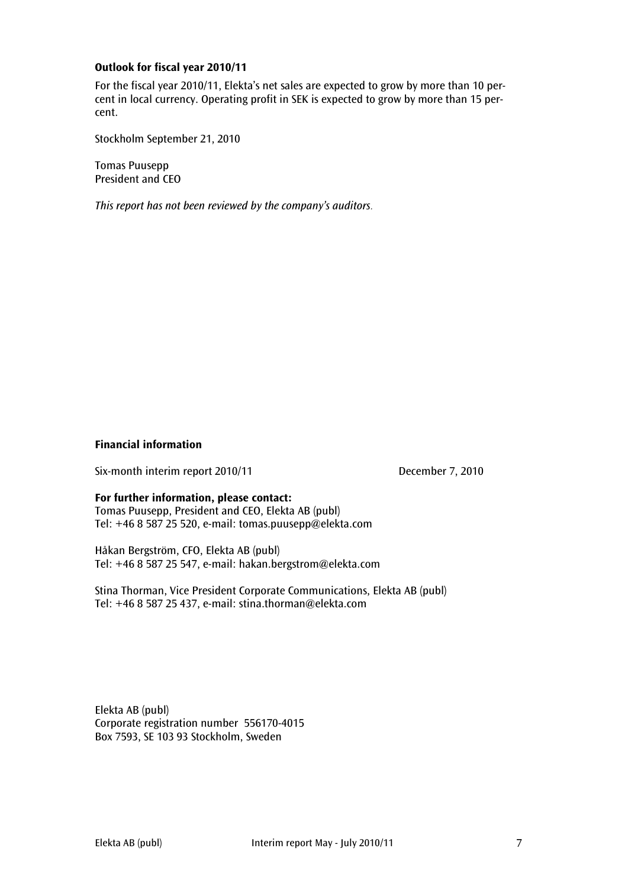# Outlook for fiscal year 2010/11

For the fiscal year 2010/11, Elekta's net sales are expected to grow by more than 10 percent in local currency. Operating profit in SEK is expected to grow by more than 15 percent.

Stockholm September 21, 2010

Tomas Puusepp President and CEO

This report has not been reviewed by the company's auditors.

# Financial information

Six-month interim report 2010/11 December 7, 2010

#### For further information, please contact:

Tomas Puusepp, President and CEO, Elekta AB (publ) Tel: +46 8 587 25 520, e-mail: tomas.puusepp@elekta.com

Håkan Bergström, CFO, Elekta AB (publ) Tel: +46 8 587 25 547, e-mail: hakan.bergstrom@elekta.com

Stina Thorman, Vice President Corporate Communications, Elekta AB (publ) Tel: +46 8 587 25 437, e-mail: stina.thorman@elekta.com

Elekta AB (publ) Corporate registration number 556170-4015 Box 7593, SE 103 93 Stockholm, Sweden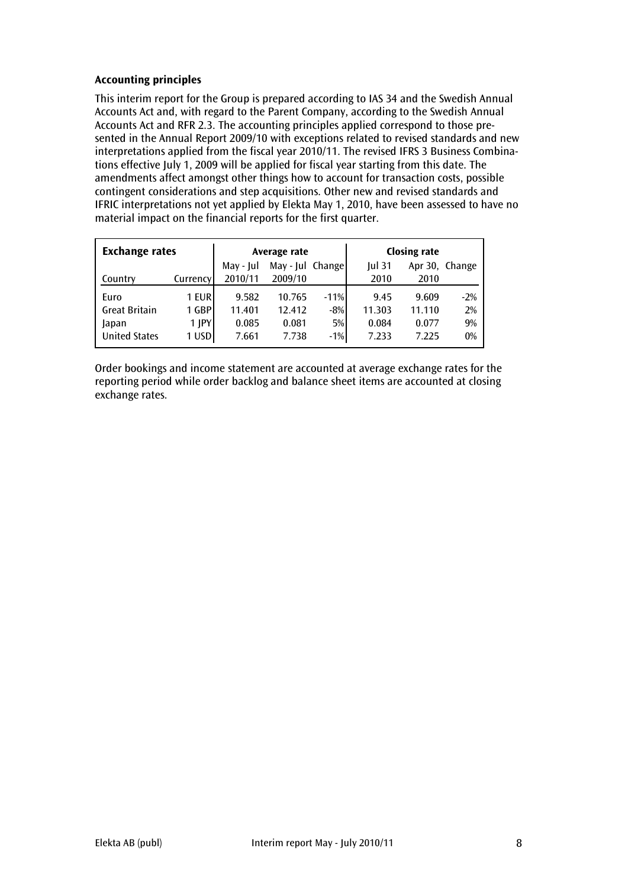# Accounting principles

This interim report for the Group is prepared according to IAS 34 and the Swedish Annual Accounts Act and, with regard to the Parent Company, according to the Swedish Annual Accounts Act and RFR 2.3. The accounting principles applied correspond to those presented in the Annual Report 2009/10 with exceptions related to revised standards and new interpretations applied from the fiscal year 2010/11. The revised IFRS 3 Business Combinations effective July 1, 2009 will be applied for fiscal year starting from this date. The amendments affect amongst other things how to account for transaction costs, possible contingent considerations and step acquisitions. Other new and revised standards and IFRIC interpretations not yet applied by Elekta May 1, 2010, have been assessed to have no material impact on the financial reports for the first quarter.

| <b>Exchange rates</b> |              |           | Average rate     |        |          | <b>Closing rate</b> |                |
|-----------------------|--------------|-----------|------------------|--------|----------|---------------------|----------------|
|                       |              | May - Jul | May - Jul Change |        | $Iul$ 31 |                     | Apr 30, Change |
| Country               | Currency     | 2010/11   | 2009/10          |        | 2010     | 2010                |                |
| Euro                  | 1 EUR        | 9.582     | 10.765           | $-11%$ | 9.45     | 9.609               | $-2\%$         |
| <b>Great Britain</b>  | 1 GBP        | 11.401    | 12.412           | $-8%$  | 11.303   | 11.110              | 2%             |
| Japan                 | <b>1 IPY</b> | 0.085     | 0.081            | 5%     | 0.084    | 0.077               | 9%             |
| <b>United States</b>  | 1 USD        | 7.661     | 7.738            | $-1%$  | 7.233    | 7.225               | 0%             |

Order bookings and income statement are accounted at average exchange rates for the reporting period while order backlog and balance sheet items are accounted at closing exchange rates.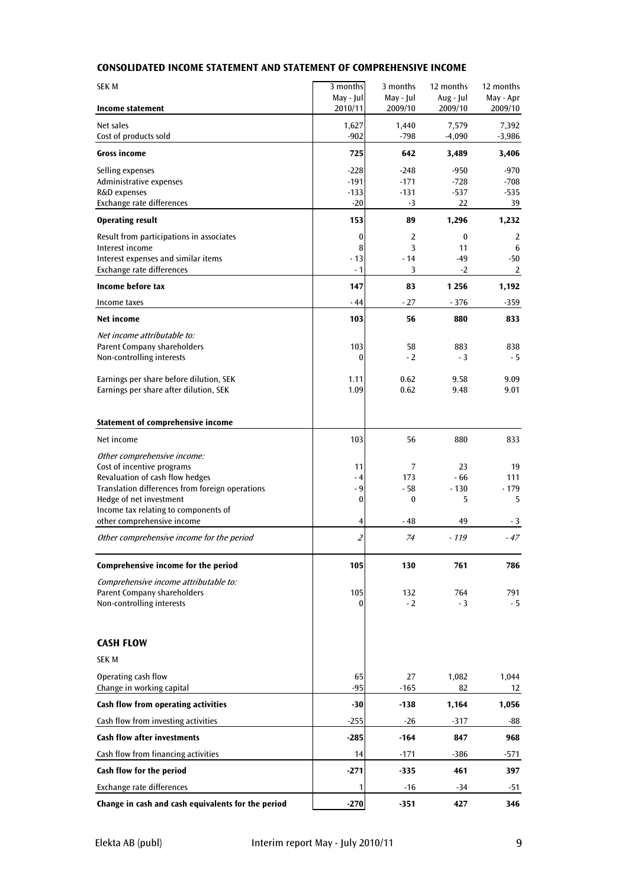# CONSOLIDATED INCOME STATEMENT AND STATEMENT OF COMPREHENSIVE INCOME

| <b>SEKM</b>                                                                        | 3 months             | 3 months             | 12 months            | 12 months            |
|------------------------------------------------------------------------------------|----------------------|----------------------|----------------------|----------------------|
| Income statement                                                                   | May - Jul<br>2010/11 | May - Jul<br>2009/10 | Aug - Jul<br>2009/10 | May - Apr<br>2009/10 |
| Net sales<br>Cost of products sold                                                 | 1,627<br>$-902$      | 1,440<br>$-798$      | 7,579<br>$-4,090$    | 7,392<br>$-3,986$    |
| <b>Gross income</b>                                                                | 725                  | 642                  | 3,489                | 3,406                |
| Selling expenses                                                                   | $-228$               | $-248$               | $-950$               | $-970$               |
| Administrative expenses<br>R&D expenses                                            | $-191$<br>$-133$     | $-171$<br>$-131$     | $-728$<br>$-537$     | $-708$<br>$-535$     |
| Exchange rate differences                                                          | $-20$                | -3                   | 22                   | 39                   |
| <b>Operating result</b>                                                            | 153                  | 89                   | 1,296                | 1,232                |
| Result from participations in associates<br>Interest income                        | $\bf{0}$<br>8        | 2<br>3               | $\bf{0}$<br>11       | 2<br>6               |
| Interest expenses and similar items                                                | $-13$                | $-14$                | $-49$                | $-50$                |
| Exchange rate differences                                                          | - 1                  | 3                    | $-2$                 | 2                    |
| Income before tax                                                                  | 147                  | 83                   | 1 2 5 6              | 1,192                |
| Income taxes                                                                       | $-44$                | $-27$                | $-376$               | $-359$               |
| Net income                                                                         | 103                  | 56                   | 880                  | 833                  |
| Net income attributable to:                                                        |                      |                      |                      |                      |
| Parent Company shareholders<br>Non-controlling interests                           | 103<br>0             | 58<br>$-2$           | 883<br>$-3$          | 838<br>- 5           |
|                                                                                    |                      |                      |                      |                      |
| Earnings per share before dilution, SEK<br>Earnings per share after dilution, SEK  | 1.11<br>1.09         | 0.62<br>0.62         | 9.58<br>9.48         | 9.09<br>9.01         |
|                                                                                    |                      |                      |                      |                      |
| Statement of comprehensive income                                                  |                      |                      |                      |                      |
| Net income                                                                         | 103                  | 56                   | 880                  | 833                  |
| Other comprehensive income:                                                        |                      |                      |                      |                      |
| Cost of incentive programs                                                         | 11                   | 7                    | 23                   | 19                   |
| Revaluation of cash flow hedges<br>Translation differences from foreign operations | $-4$<br>$-9$         | 173<br>- 58          | $-66$<br>$-130$      | 111<br>- 179         |
| Hedge of net investment                                                            | 0                    | $\bf{0}$             | 5                    | 5                    |
| Income tax relating to components of                                               |                      |                      |                      |                      |
| other comprehensive income                                                         | 4                    | - 48                 | 49                   | - 3                  |
| Other comprehensive income for the period                                          | $\overline{2}$       | 74                   | - 119                | $-47$                |
| Comprehensive income for the period                                                | 105                  | 130                  | 761                  | 786                  |
| Comprehensive income attributable to:<br>Parent Company shareholders               |                      |                      |                      |                      |
| Non-controlling interests                                                          | 105<br>0             | 132<br>$-2$          | 764<br>$-3$          | 791<br>- 5           |
|                                                                                    |                      |                      |                      |                      |
| <b>CASH FLOW</b>                                                                   |                      |                      |                      |                      |
| <b>SEK M</b>                                                                       |                      |                      |                      |                      |
| Operating cash flow                                                                | 65                   | 27                   | 1,082                | 1,044                |
| Change in working capital                                                          | $-95$                | $-165$               | 82                   | 12                   |
| Cash flow from operating activities                                                | -30                  | $-138$               | 1,164                | 1,056                |
| Cash flow from investing activities                                                | $-255$               | $-26$                | $-317$               | -88                  |
| <b>Cash flow after investments</b>                                                 | $-285$               | $-164$               | 847                  | 968                  |
| Cash flow from financing activities                                                | 14                   | $-171$               | -386                 | -571                 |
| Cash flow for the period                                                           | -271                 | -335                 | 461                  | 397                  |
| Exchange rate differences                                                          | 1                    | $-16$                | $-34$                | $-51$                |
| Change in cash and cash equivalents for the period                                 | $-270$               | $-351$               | 427                  | 346                  |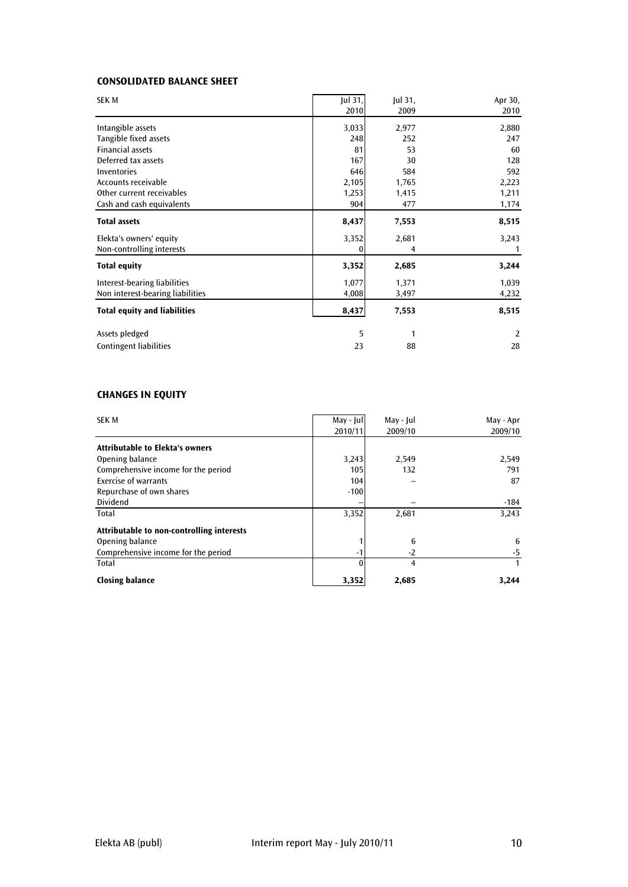# CONSOLIDATED BALANCE SHEET

| <b>SEK M</b>                        | Jul 31,<br>2010 | Jul 31,<br>2009 | Apr 30,<br>2010 |
|-------------------------------------|-----------------|-----------------|-----------------|
| Intangible assets                   | 3,033           | 2,977           | 2,880           |
| Tangible fixed assets               | 248             | 252             | 247             |
| <b>Financial assets</b>             | 81              | 53              | 60              |
| Deferred tax assets                 | 167             | 30              | 128             |
| Inventories                         | 646             | 584             | 592             |
| Accounts receivable                 | 2,105           | 1,765           | 2,223           |
| Other current receivables           | 1,253           | 1,415           | 1,211           |
| Cash and cash equivalents           | 904             | 477             | 1,174           |
| <b>Total assets</b>                 | 8,437           | 7,553           | 8,515           |
| Elekta's owners' equity             | 3,352           | 2,681           | 3,243           |
| Non-controlling interests           | 0               | 4               | -1              |
| <b>Total equity</b>                 | 3,352           | 2,685           | 3,244           |
| Interest-bearing liabilities        | 1,077           | 1,371           | 1,039           |
| Non interest-bearing liabilities    | 4,008           | 3,497           | 4,232           |
| <b>Total equity and liabilities</b> | 8,437           | 7,553           | 8,515           |
| Assets pledged                      | 5               | 1               | 2               |
| <b>Contingent liabilities</b>       | 23              | 88              | 28              |

# CHANGES IN EQUITY

| <b>SEK M</b>                              | May - Jul<br>2010/11 | May - Jul<br>2009/10 | May - Apr<br>2009/10 |
|-------------------------------------------|----------------------|----------------------|----------------------|
| <b>Attributable to Elekta's owners</b>    |                      |                      |                      |
|                                           |                      |                      |                      |
| Opening balance                           | 3,243                | 2,549                | 2,549                |
| Comprehensive income for the period       | 105                  | 132                  | 791                  |
| <b>Exercise of warrants</b>               | 104                  |                      | 87                   |
| Repurchase of own shares                  | $-100$               |                      |                      |
| <b>Dividend</b>                           |                      |                      | $-184$               |
| Total                                     | 3,352                | 2,681                | 3,243                |
| Attributable to non-controlling interests |                      |                      |                      |
| Opening balance                           |                      | 6                    | 6                    |
| Comprehensive income for the period       |                      | $-2$                 | $-5$                 |
| Total                                     | U                    | 4                    |                      |
| <b>Closing balance</b>                    | 3,352                | 2,685                | 3,244                |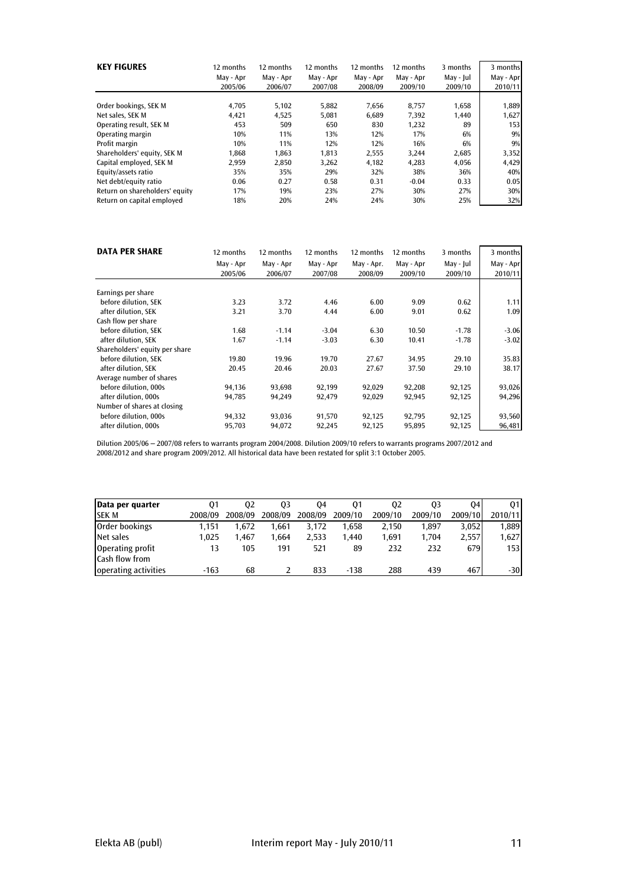| <b>KEY FIGURES</b>             | 12 months<br>May - Apr<br>2005/06 | 12 months<br>May - Apr<br>2006/07 | 12 months<br>May - Apr<br>2007/08 | 12 months<br>May - Apr<br>2008/09 | 12 months<br>May - Apr<br>2009/10 | 3 months<br>May - Jul<br>2009/10 | 3 months<br>May - Apr<br>2010/11 |
|--------------------------------|-----------------------------------|-----------------------------------|-----------------------------------|-----------------------------------|-----------------------------------|----------------------------------|----------------------------------|
| Order bookings, SEK M          | 4.705                             | 5,102                             | 5,882                             | 7,656                             | 8.757                             | 1,658                            | 1,889                            |
| Net sales. SEK M               | 4.421                             | 4,525                             | 5.081                             | 6.689                             | 7.392                             | 1.440                            | 1,627                            |
| Operating result, SEK M        | 453                               | 509                               | 650                               | 830                               | 1,232                             | 89                               | 153                              |
| Operating margin               | 10%                               | 11%                               | 13%                               | 12%                               | 17%                               | 6%                               | 9%                               |
| Profit margin                  | 10%                               | 11%                               | 12%                               | 12%                               | 16%                               | 6%                               | 9%                               |
| Shareholders' equity, SEK M    | 1.868                             | 1.863                             | 1.813                             | 2,555                             | 3.244                             | 2,685                            | 3,352                            |
| Capital employed, SEK M        | 2.959                             | 2.850                             | 3.262                             | 4.182                             | 4.283                             | 4.056                            | 4,429                            |
| Equity/assets ratio            | 35%                               | 35%                               | 29%                               | 32%                               | 38%                               | 36%                              | 40%                              |
| Net debt/equity ratio          | 0.06                              | 0.27                              | 0.58                              | 0.31                              | $-0.04$                           | 0.33                             | 0.05                             |
| Return on shareholders' equity | 17%                               | 19%                               | 23%                               | 27%                               | 30%                               | 27%                              | 30%                              |
| Return on capital employed     | 18%                               | 20%                               | 24%                               | 24%                               | 30%                               | 25%                              | 32%                              |

| <b>DATA PER SHARE</b>          | 12 months | 12 months | 12 months | 12 months  | 12 months | 3 months  | 3 months  |
|--------------------------------|-----------|-----------|-----------|------------|-----------|-----------|-----------|
|                                | May - Apr | May - Apr | May - Apr | May - Apr. | May - Apr | May - Jul | May - Apr |
|                                | 2005/06   | 2006/07   | 2007/08   | 2008/09    | 2009/10   | 2009/10   | 2010/11   |
| Earnings per share             |           |           |           |            |           |           |           |
| before dilution, SEK           | 3.23      | 3.72      | 4.46      | 6.00       | 9.09      | 0.62      | 1.11      |
| after dilution, SEK            | 3.21      | 3.70      | 4.44      | 6.00       | 9.01      | 0.62      | 1.09      |
| Cash flow per share            |           |           |           |            |           |           |           |
| before dilution, SEK           | 1.68      | $-1.14$   | $-3.04$   | 6.30       | 10.50     | $-1.78$   | $-3.06$   |
| after dilution. SEK            | 1.67      | $-1.14$   | $-3.03$   | 6.30       | 10.41     | $-1.78$   | $-3.02$   |
| Shareholders' equity per share |           |           |           |            |           |           |           |
| before dilution, SEK           | 19.80     | 19.96     | 19.70     | 27.67      | 34.95     | 29.10     | 35.83     |
| after dilution. SEK            | 20.45     | 20.46     | 20.03     | 27.67      | 37.50     | 29.10     | 38.17     |
| Average number of shares       |           |           |           |            |           |           |           |
| before dilution, 000s          | 94,136    | 93,698    | 92,199    | 92,029     | 92,208    | 92,125    | 93,026    |
| after dilution, 000s           | 94,785    | 94,249    | 92,479    | 92,029     | 92,945    | 92,125    | 94,296    |
| Number of shares at closing    |           |           |           |            |           |           |           |
| before dilution, 000s          | 94,332    | 93,036    | 91,570    | 92,125     | 92,795    | 92,125    | 93,560    |
| after dilution, 000s           | 95,703    | 94,072    | 92,245    | 92,125     | 95,895    | 92,125    | 96,481    |

Dilution 2005/06 – 2007/08 refers to warrants program 2004/2008. Dilution 2009/10 refers to warrants programs 2007/2012 and 2008/2012 and share program 2009/2012. All historical data have been restated for split 3:1 October 2005.

| Data per quarter                          | 01      | 02      | 03      | 04      | 01      | 02      | 03      | 04      | 01      |
|-------------------------------------------|---------|---------|---------|---------|---------|---------|---------|---------|---------|
| <b>SEK M</b>                              | 2008/09 | 2008/09 | 2008/09 | 2008/09 | 2009/10 | 2009/10 | 2009/10 | 2009/10 | 2010/11 |
| Order bookings                            | 1.151   | 1.672   | 1.661   | 3.172   | 1.658   | 2,150   | 1,897   | 3,052   | 1,889   |
| Net sales                                 | 1,025   | 1.467   | 1.664   | 2.533   | 1.440   | 1,691   | 1.704   | 2,557   | 1,627   |
| Operating profit<br><b>Cash flow from</b> |         | 105     | 191     | 521     | 89      | 232     | 232     | 679     | 153     |
| operating activities                      | $-163$  | 68      |         | 833     | $-138$  | 288     | 439     | 467     | $-30$   |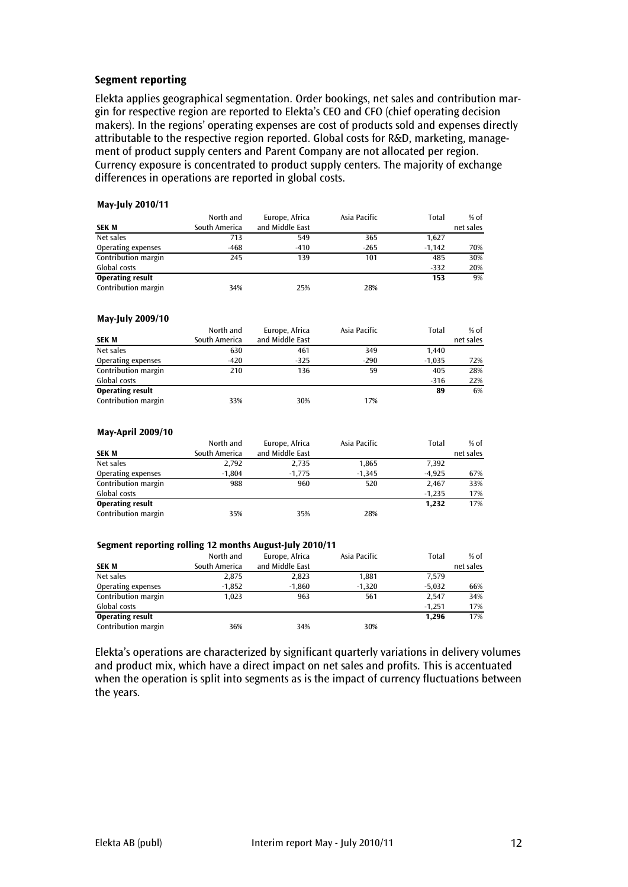#### Segment reporting

Elekta applies geographical segmentation. Order bookings, net sales and contribution margin for respective region are reported to Elekta's CEO and CFO (chief operating decision makers). In the regions' operating expenses are cost of products sold and expenses directly attributable to the respective region reported. Global costs for R&D, marketing, management of product supply centers and Parent Company are not allocated per region. Currency exposure is concentrated to product supply centers. The majority of exchange differences in operations are reported in global costs.

#### May-July 2010/11

|                         | North and     | Europe, Africa  | Asia Pacific | Total    | $%$ of    |
|-------------------------|---------------|-----------------|--------------|----------|-----------|
| <b>SEK M</b>            | South America | and Middle East |              |          | net sales |
| Net sales               | 713           | 549             | 365          | 1.627    |           |
| Operating expenses      | -468          | $-410$          | $-265$       | $-1.142$ | 70%       |
| Contribution margin     | 245           | 139             | 101          | 485      | 30%       |
| Global costs            |               |                 |              | $-332$   | 20%       |
| <b>Operating result</b> |               |                 |              | 153      | 9%        |
| Contribution margin     | 34%           | 25%             | 28%          |          |           |

#### May-July 2009/10

|                         | North and     | Europe, Africa  | Asia Pacific | Total    | $%$ of    |
|-------------------------|---------------|-----------------|--------------|----------|-----------|
| <b>SEK M</b>            | South America | and Middle East |              |          | net sales |
| Net sales               | 630           | 461             | 349          | 1.440    |           |
| Operating expenses      | $-420$        | $-325$          | $-290$       | $-1.035$ | 72%       |
| Contribution margin     | 210           | 136             | 59           | 405      | 28%       |
| Global costs            |               |                 |              | $-316$   | 22%       |
| <b>Operating result</b> |               |                 |              | 89       | 6%        |
| Contribution margin     | 33%           | 30%             | 17%          |          |           |

#### May-April 2009/10

|                         | North and     | Europe, Africa  | Asia Pacific | Total    | $%$ of    |
|-------------------------|---------------|-----------------|--------------|----------|-----------|
| <b>SEK M</b>            | South America | and Middle East |              |          | net sales |
| Net sales               | 2.792         | 2.735           | 1,865        | 7,392    |           |
| Operating expenses      | $-1.804$      | $-1,775$        | $-1,345$     | $-4.925$ | 67%       |
| Contribution margin     | 988           | 960             | 520          | 2.467    | 33%       |
| Global costs            |               |                 |              | $-1.235$ | 17%       |
| <b>Operating result</b> |               |                 |              | 1.232    | 17%       |
| Contribution margin     | 35%           | 35%             | 28%          |          |           |

#### Segment reporting rolling 12 months August-July 2010/11

| <b>SEK M</b>            | North and<br>South America | Europe, Africa<br>and Middle East | Asia Pacific | Total    | $%$ of<br>net sales |
|-------------------------|----------------------------|-----------------------------------|--------------|----------|---------------------|
| Net sales               | 2,875                      | 2,823                             | 1,881        | 7.579    |                     |
| Operating expenses      | $-1,852$                   | $-1.860$                          | $-1,320$     | $-5.032$ | 66%                 |
| Contribution margin     | 1.023                      | 963                               | 561          | 2.547    | 34%                 |
| Global costs            |                            |                                   |              | $-1.251$ | 17%                 |
| <b>Operating result</b> |                            |                                   |              | 1.296    | 17%                 |
| Contribution margin     | 36%                        | 34%                               | 30%          |          |                     |

Elekta's operations are characterized by significant quarterly variations in delivery volumes and product mix, which have a direct impact on net sales and profits. This is accentuated when the operation is split into segments as is the impact of currency fluctuations between the years.